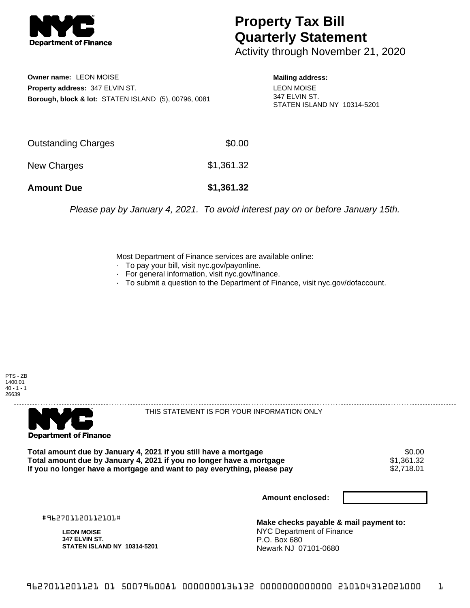

## **Property Tax Bill Quarterly Statement**

Activity through November 21, 2020

**Owner name:** LEON MOISE **Property address:** 347 ELVIN ST. **Borough, block & lot:** STATEN ISLAND (5), 00796, 0081 **Mailing address:** LEON MOISE 347 ELVIN ST. STATEN ISLAND NY 10314-5201

| <b>Amount Due</b>          | \$1,361.32 |
|----------------------------|------------|
| New Charges                | \$1,361.32 |
| <b>Outstanding Charges</b> | \$0.00     |

Please pay by January 4, 2021. To avoid interest pay on or before January 15th.

Most Department of Finance services are available online:

- · To pay your bill, visit nyc.gov/payonline.
- For general information, visit nyc.gov/finance.
- · To submit a question to the Department of Finance, visit nyc.gov/dofaccount.





THIS STATEMENT IS FOR YOUR INFORMATION ONLY

Total amount due by January 4, 2021 if you still have a mortgage \$0.00<br>Total amount due by January 4, 2021 if you no longer have a mortgage \$1.361.32 **Total amount due by January 4, 2021 if you no longer have a mortgage**  $$1,361.32$$ **<br>If you no longer have a mortgage and want to pay everything, please pay**  $$2,718.01$$ If you no longer have a mortgage and want to pay everything, please pay

**Amount enclosed:**

#962701120112101#

**LEON MOISE 347 ELVIN ST. STATEN ISLAND NY 10314-5201**

**Make checks payable & mail payment to:** NYC Department of Finance P.O. Box 680 Newark NJ 07101-0680